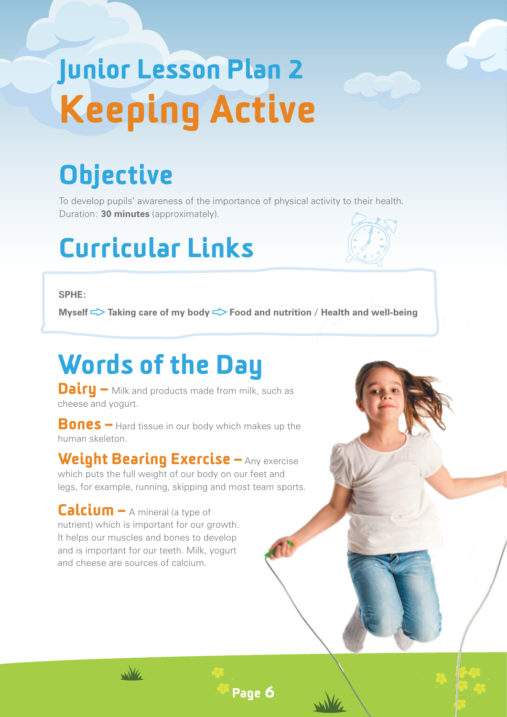# Junior Lesson Plan 2 Keeping Active

## **Objective**

To develop pupils' awareness of the importance of physical activity to their health. Duration: **30 minutes** (approximately).

### Curricular Links



**Myself**  $\leq$  **Taking care of my body**  $\leq$  **Food and nutrition / Health and well-being** 

Page 6

## Words of the Day

**Dairy –** Milk and products made from milk, such as cheese and yogurt.

**Bones** – Hard tissue in our body which makes up the human skeleton.

Weight Bearing Exercise – Any exercise which puts the full weight of our body on our feet and legs, for example, running, skipping and most team sports.

Calcium – A mineral (a type of nutrient) which is important for our growth. It helps our muscles and bones to develop and is important for our teeth. Milk, yogurt and cheese are sources of calcium.

wike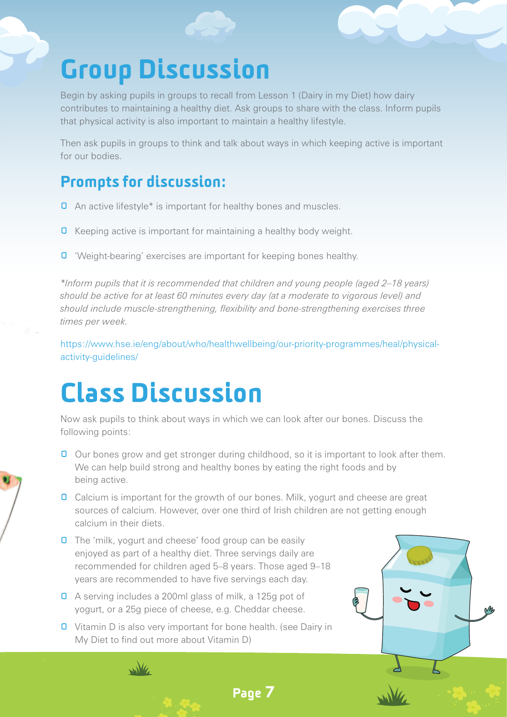### Group Discussion

Begin by asking pupils in groups to recall from Lesson 1 (Dairy in my Diet) how dairy contributes to maintaining a healthy diet. Ask groups to share with the class. Inform pupils that physical activity is also important to maintain a healthy lifestyle.

Then ask pupils in groups to think and talk about ways in which keeping active is important for our bodies.

#### Prompts for discussion:

- **O** An active lifestyle\* is important for healthy bones and muscles.
- **Q** Keeping active is important for maintaining a healthy body weight.
- **0** 'Weight-bearing' exercises are important for keeping bones healthy.

*\*Inform pupils that it is recommended that children and young people (aged 2–18 years) should be active for at least 60 minutes every day (at a moderate to vigorous level) and should include muscle-strengthening, flexibility and bone-strengthening exercises three times per week.*

https://www.hse.ie/eng/about/who/healthwellbeing/our-priority-programmes/heal/physicalactivity-guidelines/

#### Class Discussion

Now ask pupils to think about ways in which we can look after our bones. Discuss the following points:

- **O** Our bones grow and get stronger during childhood, so it is important to look after them. We can help build strong and healthy bones by eating the right foods and by being active.
- **O** Calcium is important for the growth of our bones. Milk, yogurt and cheese are great sources of calcium. However, over one third of Irish children are not getting enough calcium in their diets.

Page 7

- **0** The 'milk, yogurt and cheese' food group can be easily enjoyed as part of a healthy diet. Three servings daily are recommended for children aged 5–8 years. Those aged 9–18 years are recommended to have five servings each day.
- A serving includes a 200ml glass of milk, a 125g pot of yogurt, or a 25g piece of cheese, e.g. Cheddar cheese.

wike

**0** Vitamin D is also very important for bone health. (see Dairy in My Diet to find out more about Vitamin D)

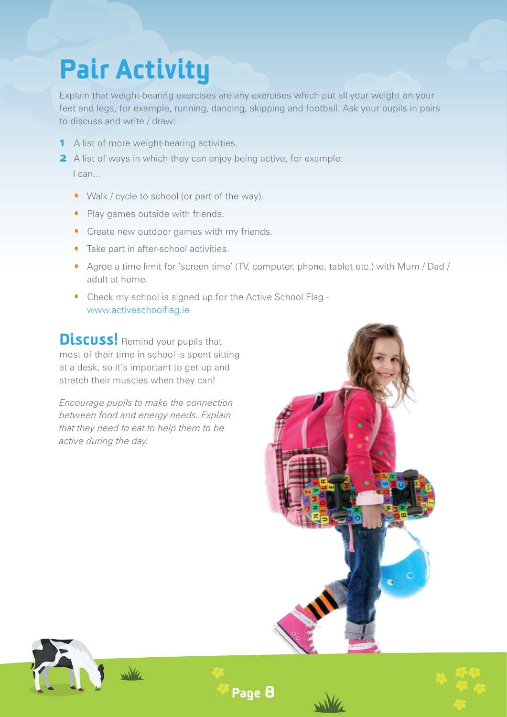## Pair Activity

Explain that weight-bearing exercises are any exercises which put all your weight on your feet and legs, for example, running, dancing, skipping and football. Ask your pupils in pairs to discuss and write / draw:

- 1 A list of more weight-bearing activities.
- **2** A list of ways in which they can enjoy being active, for example: I can...
	- · Walk / cycle to school (or part of the way).
	- Play games outside with friends.
	- **•** Create new outdoor games with my friends.
	- · Take part in after-school activities.
	- · Agree a time limit for 'screen time' (TV, computer, phone, tablet etc.) with Mum / Dad / adult at home.
	- · Check my school is signed up for the Active School Flag www.activeschoolflag.ie

Discuss! Remind your pupils that most of their time in school is spent sitting at a desk, so it's important to get up and stretch their muscles when they can!

*Encourage pupils to make the connection between food and energy needs. Explain that they need to eat to help them to be active during the day.*





Page 8